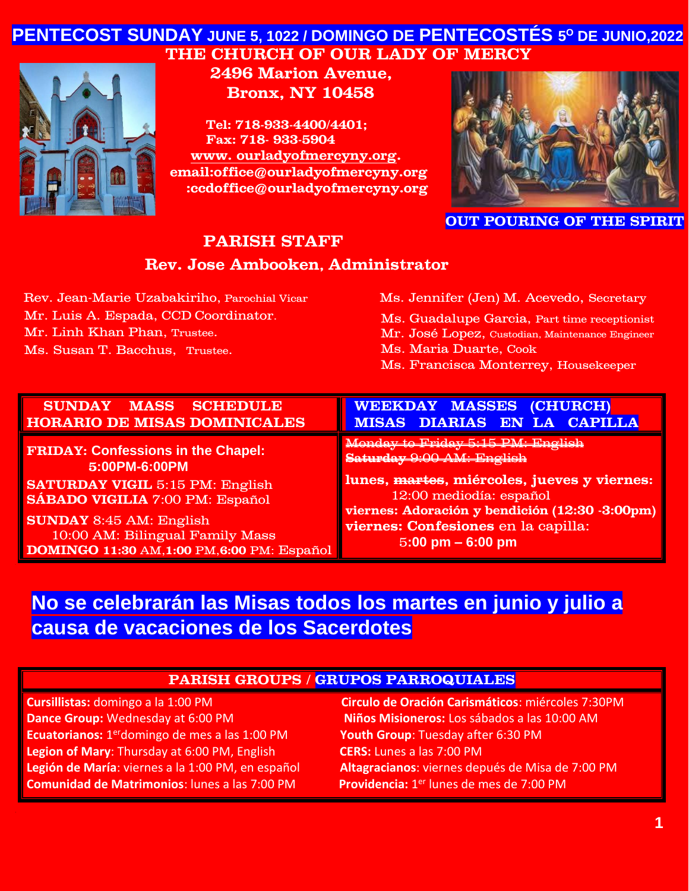# **PENTECOST SUNDAY JUNE 5, 1022 / DOMINGO DE PENTECOSTÉS 5 <sup>O</sup> DE JUNIO,2022 THE CHURCH OF OUR LADY OF MERCY**



**2496 Marion Avenue, Bronx, NY 10458** 

**Tel: 718-933-4400/4401; Fax: 718- 933-5904 www. [ourladyofmercyny.org.](http://www.ourladyofmercyny.org/) email:office@ourladyofmercyny.org :ccdoffice@ourladyofmercyny.org**



**OUT POURING OF THE SPIRIT** 

### **PARISH STAFF**

#### **Rev. Jose Ambooken, Administrator**

| Rev. Jean-Marie Uzabakiriho, Parochial Vical |
|----------------------------------------------|
| Mr. Luis A. Espada, CCD Coordinator.         |
| Mr. Linh Khan Phan, Trustee.                 |

Ms. Susan T. Bacchus, Trustee.

Ms. Jennifer (Jen) M. Acevedo, Secretary Ms. Guadalupe Garcia, Part time receptionist Mr. José Lopez, Custodian, Maintenance Engineer Ms. Maria Duarte, Cook

Ms. Francisca Monterrey, Housekeeper

| <b>SUNDAY MASS SCHEDULE</b>                        | <b>WEEKDAY MASSES (CHURCH)</b>                 |
|----------------------------------------------------|------------------------------------------------|
| <b>HORARIO DE MISAS DOMINICALES</b>                | <b>MISAS DIARIAS EN LA CAPILLA</b>             |
| <b>FRIDAY: Confessions in the Chapel:</b>          | Monday to Friday 5:15 PM: English              |
| 5:00PM-6:00PM                                      | Saturday 9:00 AM: English                      |
| <b>SATURDAY VIGIL 5:15 PM: English</b>             | lunes, martes, miércoles, jueves y viernes:    |
| <b>SÁBADO VIGILIA</b> 7:00 PM: Español             | 12:00 mediodía: español                        |
| <b>SUNDAY</b> 8:45 AM: English                     | viernes: Adoración y bendición (12:30 -3:00pm) |
| 10:00 AM: Bilingual Family Mass                    | viernes: Confesiones en la capilla:            |
| <b>DOMINGO 11:30 AM, 1:00 PM, 6:00 PM: Español</b> | $5:00 \text{ pm} - 6:00 \text{ pm}$            |

# **No se celebrarán las Misas todos los martes en junio y julio a causa de vacaciones de los Sacerdotes**◄

#### **PARISH GROUPS / GRUPOS PARROQUIALES**

| Cursillistas: domingo a la 1:00 PM                                | Circulo de Oración Carismáticos: miércoles 7:30PM    |
|-------------------------------------------------------------------|------------------------------------------------------|
| Dance Group: Wednesday at 6:00 PM                                 | Niños Misioneros: Los sábados a las 10:00 AM         |
| <b>Ecuatorianos:</b> 1 <sup>er</sup> domingo de mes a las 1:00 PM | Youth Group: Tuesday after 6:30 PM                   |
| Legion of Mary: Thursday at 6:00 PM, English                      | <b>CERS:</b> Lunes a las 7:00 PM                     |
| Legión de María: viernes a la 1:00 PM, en español                 | Altagracianos: viernes depués de Misa de 7:00 PM     |
| <b>Comunidad de Matrimonios:</b> lunes a las 7:00 PM              | Providencia: 1 <sup>er</sup> lunes de mes de 7:00 PM |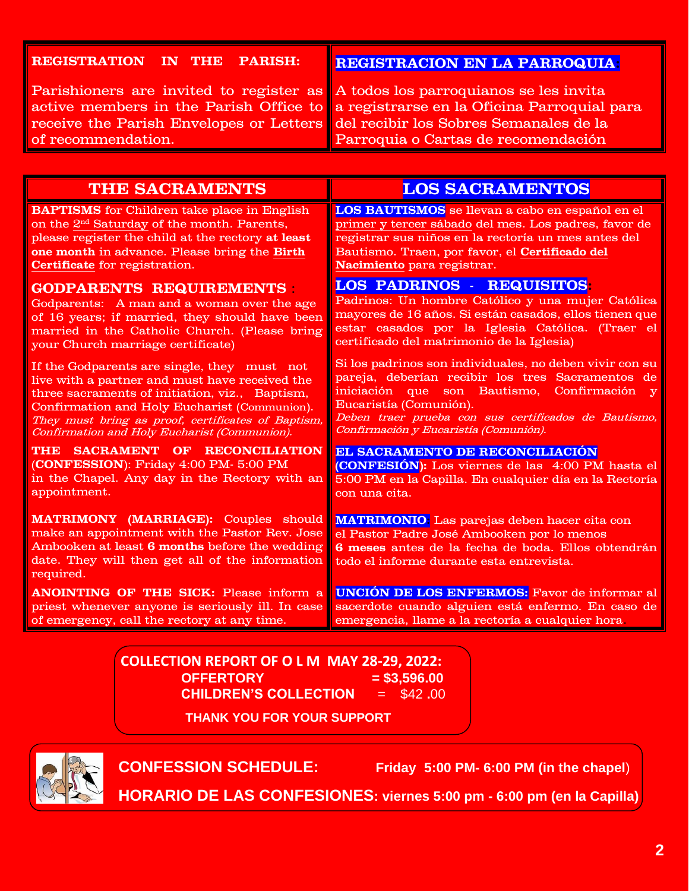#### **REGISTRATION IN THE PARISH:**

**REGISTRACION EN LA PARROQUIA:**

Parishioners are invited to register as active members in the Parish Office to receive the Parish Envelopes or Letters of recommendation.

A todos los parroquianos se les invita a registrarse en la Oficina Parroquial para del recibir los Sobres Semanales de la Parroquia o Cartas de recomendación

| <b>THE SACRAMENTS</b>                                                                                                                                                                                                                                                                                 | <b>LOS SACRAMENTOS</b>                                                                                                                                                                                                                                                                                               |
|-------------------------------------------------------------------------------------------------------------------------------------------------------------------------------------------------------------------------------------------------------------------------------------------------------|----------------------------------------------------------------------------------------------------------------------------------------------------------------------------------------------------------------------------------------------------------------------------------------------------------------------|
| <b>BAPTISMS</b> for Children take place in English                                                                                                                                                                                                                                                    | LOS BAUTISMOS se llevan a cabo en español en el                                                                                                                                                                                                                                                                      |
| on the 2 <sup>nd</sup> Saturday of the month. Parents,                                                                                                                                                                                                                                                | primer y tercer sábado del mes. Los padres, favor de                                                                                                                                                                                                                                                                 |
| please register the child at the rectory at least                                                                                                                                                                                                                                                     | registrar sus niños en la rectoría un mes antes del                                                                                                                                                                                                                                                                  |
| one month in advance. Please bring the Birth                                                                                                                                                                                                                                                          | Bautismo. Traen, por favor, el Certificado del                                                                                                                                                                                                                                                                       |
| Certificate for registration.                                                                                                                                                                                                                                                                         | Nacimiento para registrar.                                                                                                                                                                                                                                                                                           |
| <b>GODPARENTS REQUIREMENTS</b>                                                                                                                                                                                                                                                                        | <b>LOS PADRINOS - REQUISITOS</b>                                                                                                                                                                                                                                                                                     |
| Godparents: A man and a woman over the age                                                                                                                                                                                                                                                            | Padrinos: Un hombre Católico y una mujer Católica                                                                                                                                                                                                                                                                    |
| of 16 years; if married, they should have been                                                                                                                                                                                                                                                        | mayores de 16 años. Si están casados, ellos tienen que                                                                                                                                                                                                                                                               |
| married in the Catholic Church. (Please bring                                                                                                                                                                                                                                                         | estar casados por la Iglesia Católica. (Traer el                                                                                                                                                                                                                                                                     |
| your Church marriage certificate)                                                                                                                                                                                                                                                                     | certificado del matrimonio de la Iglesia)                                                                                                                                                                                                                                                                            |
| If the Godparents are single, they must not<br>live with a partner and must have received the<br>three sacraments of initiation, viz., Baptism,<br>Confirmation and Holy Eucharist (Communion).<br>They must bring as proof, certificates of Baptism,<br>Confirmation and Holy Eucharist (Communion). | Si los padrinos son individuales, no deben vivir con su<br>pareja, deberían recibir los tres Sacramentos de<br>iniciación que<br>son Bautismo,<br>Confirmación<br>$\overline{\mathbf{v}}$<br>Eucaristía (Comunión).<br>Deben traer prueba con sus certificados de Bautismo,<br>Confirmación y Eucaristía (Comunión). |
| THE SACRAMENT OF RECONCILIATION                                                                                                                                                                                                                                                                       | EL SACRAMENTO DE RECONCILIACIÓN                                                                                                                                                                                                                                                                                      |
| (CONFESSION): Friday 4:00 PM-5:00 PM                                                                                                                                                                                                                                                                  | (CONFESIÓN): Los viernes de las 4:00 PM hasta el                                                                                                                                                                                                                                                                     |
| in the Chapel. Any day in the Rectory with an                                                                                                                                                                                                                                                         | 5:00 PM en la Capilla. En cualquier día en la Rectoría                                                                                                                                                                                                                                                               |
| appointment.                                                                                                                                                                                                                                                                                          | con una cita.                                                                                                                                                                                                                                                                                                        |
| <b>MATRIMONY (MARRIAGE):</b> Couples should<br>make an appointment with the Pastor Rev. Jose<br>Ambooken at least 6 months before the wedding<br>date. They will then get all of the information<br>required.                                                                                         | <b>MATRIMONIO:</b> Las parejas deben hacer cita con<br>el Pastor Padre José Ambooken por lo menos<br>6 meses antes de la fecha de boda. Ellos obtendrán<br>todo el informe durante esta entrevista.                                                                                                                  |
| <b>ANOINTING OF THE SICK:</b> Please inform a                                                                                                                                                                                                                                                         | <b>UNCIÓN DE LOS ENFERMOS:</b> Favor de informar al                                                                                                                                                                                                                                                                  |
| priest whenever anyone is seriously ill. In case                                                                                                                                                                                                                                                      | sacerdote cuando alguien está enfermo. En caso de                                                                                                                                                                                                                                                                    |
| of emergency, call the rectory at any time.                                                                                                                                                                                                                                                           | emergencia, llame a la rectoría a cualquier hora                                                                                                                                                                                                                                                                     |

**COLLECTION REPORT OF O L M MAY 28-29, 2022: OFFERTORY = \$3,596.00 CHILDREN'S COLLECTION** = \$42 **.**00

**THANK YOU FOR YOUR SUPPORT**



**CONFESSION SCHEDULE: Friday 5:00 PM- 6:00 PM (in the chapel**)

**HORARIO DE LAS CONFESIONES: viernes 5:00 pm - 6:00 pm (en la Capilla)**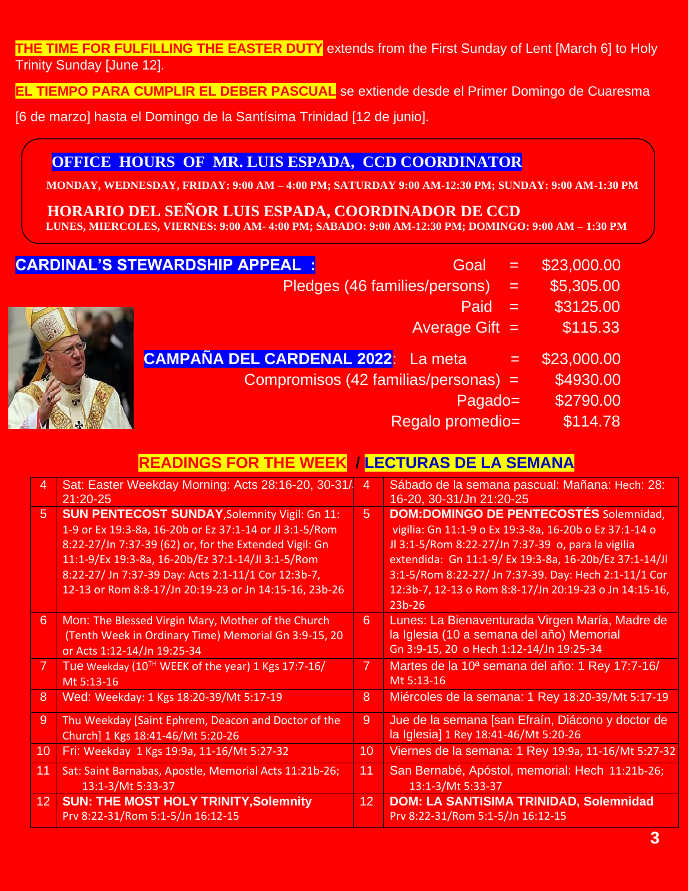**THE TIME FOR FULFILLING THE EASTER DUTY** extends from the First Sunday of Lent [March 6] to Holy Trinity Sunday [June 12].

**EL TIEMPO PARA CUMPLIR EL DEBER PASCUAL** se extiende desde el Primer Domingo de Cuaresma

[6 de marzo] hasta el Domingo de la Santísima Trinidad [12 de junio].

#### **OFFICE HOURS OF MR. LUIS ESPADA, CCD COORDINATOR**

 **MONDAY, WEDNESDAY, FRIDAY: 9:00 AM – 4:00 PM; SATURDAY 9:00 AM-12:30 PM; SUNDAY: 9:00 AM-1:30 PM**

 **HORARIO DEL SENOR LUIS ESPADA, COORDINADOR DE CCD** 

 **LUNES, MIERCOLES, VIERNES: 9:00 AM- 4:00 PM; SABADO: 9:00 AM-12:30 PM; DOMINGO: 9:00 AM – 1:30 PM** 

### CARDINAL'

| <u>J JI EWARDJHIP APPEALI</u><br>Goal      |     | DZJ.UUU.UU  |
|--------------------------------------------|-----|-------------|
| Pledges (46 families/persons)              | $=$ | \$5,305.00  |
| Paid                                       | $=$ | \$3125.00   |
| Average Gift $=$                           |     | \$115.33    |
| <b>CAMPAÑA DEL CARDENAL 2022</b> : La meta | $=$ | \$23,000.00 |
| Compromisos (42 familias/personas) =       |     | \$4930.00   |
| Pagado=                                    |     | \$2790.00   |
| Regalo promedio=                           |     | \$114.78    |
|                                            |     |             |

# **READINGS FOR THE WEEK / LECTURAS DE LA SEMANA**

| 4               | Sat: Easter Weekday Morning: Acts 28:16-20, 30-31/<br>$21:20 - 25$                                                                                                                                                                                                                                                                              | 4              | Sábado de la semana pascual: Mañana: Hech: 28:<br>16-20, 30-31/Jn 21:20-25                                                                                                                                                                                                                                                                             |
|-----------------|-------------------------------------------------------------------------------------------------------------------------------------------------------------------------------------------------------------------------------------------------------------------------------------------------------------------------------------------------|----------------|--------------------------------------------------------------------------------------------------------------------------------------------------------------------------------------------------------------------------------------------------------------------------------------------------------------------------------------------------------|
| $\overline{5}$  | <b>SUN PENTECOST SUNDAY, Solemnity Vigil: Gn 11:</b><br>1-9 or Ex 19:3-8a, 16-20b or Ez 37:1-14 or Jl 3:1-5/Rom<br>8:22-27/Jn 7:37-39 (62) or, for the Extended Vigil: Gn<br>11:1-9/Ex 19:3-8a, 16-20b/Ez 37:1-14/Jl 3:1-5/Rom<br>8:22-27/ Jn 7:37-39 Day: Acts 2:1-11/1 Cor 12:3b-7,<br>12-13 or Rom 8:8-17/Jn 20:19-23 or Jn 14:15-16, 23b-26 | 5 <sup>1</sup> | <b>DOM:DOMINGO DE PENTECOSTÉS Solemnidad,</b><br>vigilia: Gn 11:1-9 o Ex 19:3-8a, 16-20b o Ez 37:1-14 o<br>Jl 3:1-5/Rom 8:22-27/Jn 7:37-39 o, para la vigilia<br>extendida: Gn 11:1-9/ Ex 19:3-8a, 16-20b/Ez 37:1-14/Jl<br>3:1-5/Rom 8:22-27/ Jn 7:37-39. Day: Hech 2:1-11/1 Cor<br>12:3b-7, 12-13 o Rom 8:8-17/Jn 20:19-23 o Jn 14:15-16,<br>$23b-26$ |
| $6\phantom{1}6$ | Mon: The Blessed Virgin Mary, Mother of the Church<br>(Tenth Week in Ordinary Time) Memorial Gn 3:9-15, 20<br>or Acts 1:12-14/Jn 19:25-34                                                                                                                                                                                                       | 6              | Lunes: La Bienaventurada Virgen María, Madre de<br>la Iglesia (10 a semana del año) Memorial<br>Gn 3:9-15, 20 o Hech 1:12-14/Jn 19:25-34                                                                                                                                                                                                               |
| 7               | Tue Weekday (10 <sup>TH</sup> WEEK of the year) 1 Kgs 17:7-16/<br>Mt 5:13-16                                                                                                                                                                                                                                                                    | $\mathbf{7}$   | Martes de la 10 <sup>ª</sup> semana del año: 1 Rey 17:7-16/<br>Mt 5:13-16                                                                                                                                                                                                                                                                              |
| 8               | Wed: Weekday: 1 Kgs 18:20-39/Mt 5:17-19                                                                                                                                                                                                                                                                                                         | 8              | Miércoles de la semana: 1 Rey 18:20-39/Mt 5:17-19                                                                                                                                                                                                                                                                                                      |
| 9               | Thu Weekday [Saint Ephrem, Deacon and Doctor of the<br>Church] 1 Kgs 18:41-46/Mt 5:20-26                                                                                                                                                                                                                                                        | 9              | Jue de la semana [san Efraín, Diácono y doctor de<br>la Iglesia] 1 Rey 18:41-46/Mt 5:20-26                                                                                                                                                                                                                                                             |
| 10              | Fri: Weekday 1 Kgs 19:9a, 11-16/Mt 5:27-32                                                                                                                                                                                                                                                                                                      | 10             | Viernes de la semana: 1 Rey 19:9a, 11-16/Mt 5:27-32                                                                                                                                                                                                                                                                                                    |
| 11              | Sat: Saint Barnabas, Apostle, Memorial Acts 11:21b-26;<br>13:1-3/Mt 5:33-37                                                                                                                                                                                                                                                                     | 11             | San Bernabé, Apóstol, memorial: Hech 11:21b-26;<br>13:1-3/Mt 5:33-37                                                                                                                                                                                                                                                                                   |
| 12 <sub>1</sub> | <b>SUN: THE MOST HOLY TRINITY, Solemnity</b><br>Prv 8:22-31/Rom 5:1-5/Jn 16:12-15                                                                                                                                                                                                                                                               | 12             | <b>DOM: LA SANTISIMA TRINIDAD, Solemnidad</b><br>Prv 8:22-31/Rom 5:1-5/Jn 16:12-15                                                                                                                                                                                                                                                                     |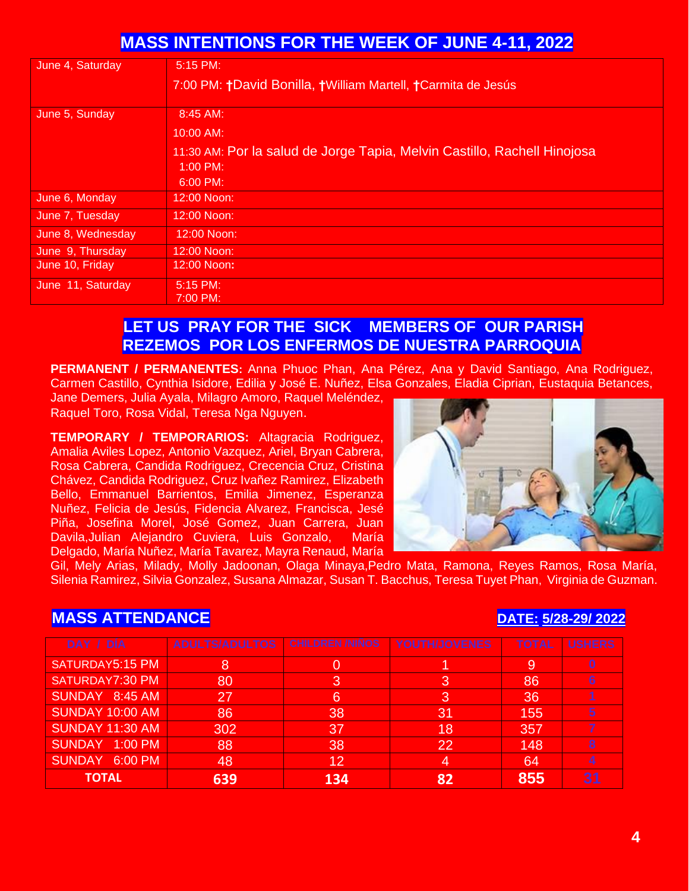# **MASS INTENTIONS FOR THE WEEK OF JUNE 4-11, 2022**

| June 4, Saturday  | 5:15 PM:                                                                 |
|-------------------|--------------------------------------------------------------------------|
|                   | 7:00 PM: †David Bonilla, †William Martell, †Carmita de Jesús             |
|                   |                                                                          |
| June 5, Sunday    | $8:45$ AM:                                                               |
|                   | 10:00 AM:                                                                |
|                   | 11:30 AM: Por la salud de Jorge Tapia, Melvin Castillo, Rachell Hinojosa |
|                   | $1:00 \text{ PM}$                                                        |
|                   | $6:00 \text{ PM}$                                                        |
| June 6, Monday    | 12:00 Noon:                                                              |
| June 7, Tuesday   | 12:00 Noon:                                                              |
| June 8, Wednesday | 12:00 Noon:                                                              |
| June 9, Thursday  | 12:00 Noon:                                                              |
| June 10, Friday   | 12:00 Noon:                                                              |
| June 11, Saturday | $5:15 \text{ PM}$                                                        |
|                   | 7:00 PM:                                                                 |

# **LET US PRAY FOR THE SICK MEMBERS OF OUR PARISH REZEMOS POR LOS ENFERMOS DE NUESTRA PARROQUIA**

**PERMANENT / PERMANENTES:** Anna Phuoc Phan, Ana Pérez, Ana y David Santiago, Ana Rodriguez, Carmen Castillo, Cynthia Isidore, Edilia y José E. Nuñez, Elsa Gonzales, Eladia Ciprian, Eustaquia Betances,

Jane Demers, Julia Ayala, Milagro Amoro, Raquel Meléndez, Raquel Toro, Rosa Vidal, Teresa Nga Nguyen.

**TEMPORARY / TEMPORARIOS:** Altagracia Rodriguez, Amalia Aviles Lopez, Antonio Vazquez, Ariel, Bryan Cabrera, Rosa Cabrera, Candida Rodriguez, Crecencia Cruz, Cristina Chávez, Candida Rodriguez, Cruz Ivañez Ramirez, Elizabeth Bello, Emmanuel Barrientos, Emilia Jimenez, Esperanza Nuñez, Felicia de Jesús, Fidencia Alvarez, Francisca, Jesé Piña, Josefina Morel, José Gomez, Juan Carrera, Juan Davila,Julian Alejandro Cuviera, Luis Gonzalo, María Delgado, María Nuñez, María Tavarez, Mayra Renaud, María



Gil, Mely Arias, Milady, Molly Jadoonan, Olaga Minaya,Pedro Mata, Ramona, Reyes Ramos, Rosa María, Silenia Ramirez, Silvia Gonzalez, Susana Almazar, Susan T. Bacchus, Teresa Tuyet Phan, Virginia de Guzman.

# **MASS ATTENDANCE DATE: 5/28-29/ 2022**

| DAY / DIA              | <b>ADULTS/ADULTOS</b> | <b>CHILDREN /NINOS</b> | YOUTH/JOVENES | <b>TOTAL</b> | <b>USHERS</b>   |
|------------------------|-----------------------|------------------------|---------------|--------------|-----------------|
| SATURDAY5:15 PM        | 8                     |                        |               | 9            | 0               |
| SATURDAY7:30 PM        | 80                    | З                      | З             | 86           | $6\phantom{1}6$ |
| SUNDAY 8:45 AM         | 27                    | 6                      | 3             | 36           |                 |
| <b>SUNDAY 10:00 AM</b> | 86                    | 38                     | 31            | 155          | 5               |
| <b>SUNDAY 11:30 AM</b> | 302                   | 37                     | 18            | 357          |                 |
| SUNDAY 1:00 PM         | 88                    | 38                     | $22^{1}$      | 148          | 8               |
| SUNDAY 6:00 PM         | 48                    | 12                     | 4             | 64           | 4               |
| <b>TOTAL</b>           | 639                   | 134                    |               | 855          | 31              |